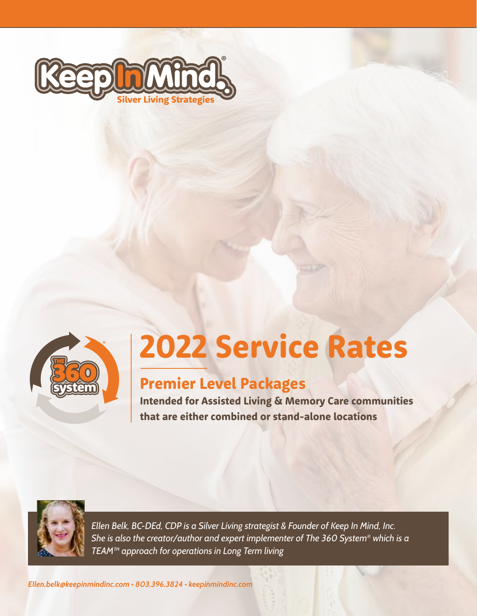



# 2022 Service Rates

### Premier Level Packages

Intended for Assisted Living & Memory Care communities that are either combined or stand-alone locations



*Ellen Belk, BC-DEd, CDP is a Silver Living strategist & Founder of Keep In Mind, Inc. She is also the creator/author and expert implementer of The 360 System® which is a TEAM™ approach for operations in Long Term living*

*Ellen.belk@keepinmindinc.com • 803.396.3824 • keepinmindinc.com*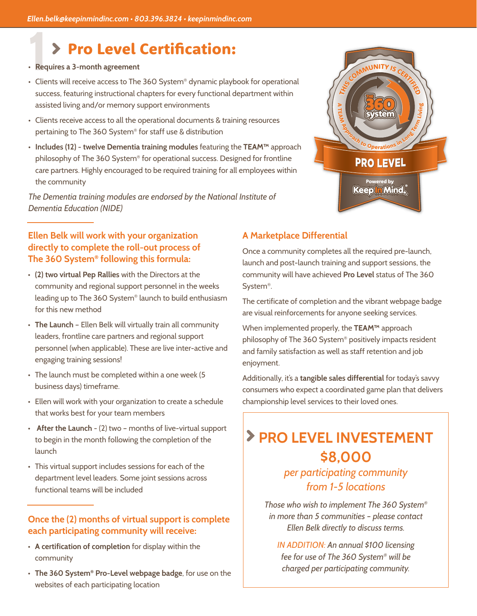### Pro Level Certification:

- **• Requires a 3-month agreement**
- Clients will receive access to The 360 System<sup>®</sup> dynamic playbook for operational success, featuring instructional chapters for every functional department within assisted living and/or memory support environments
- Clients receive access to all the operational documents & training resources pertaining to The 360 System® for staff use & distribution
- **• Includes (12) twelve Dementia training modules** featuring the **TEAM™** approach philosophy of The 360 System® for operational success. Designed for frontline care partners. Highly encouraged to be required training for all employees within the community

*The Dementia training modules are endorsed by the National Institute of Dementia Education (NIDE)*

#### **Ellen Belk will work with your organization directly to complete the roll-out process of The 360 System® following this formula:**

- **• (2) two virtual Pep Rallies** with the Directors at the community and regional support personnel in the weeks leading up to The 360 System® launch to build enthusiasm for this new method
- **• The Launch** Ellen Belk will virtually train all community leaders, frontline care partners and regional support personnel (when applicable). These are live inter-active and engaging training sessions!
- The launch must be completed within a one week (5 business days) timeframe.
- Ellen will work with your organization to create a schedule that works best for your team members
- **After the Launch** (2) two months of live-virtual support to begin in the month following the completion of the launch
- This virtual support includes sessions for each of the department level leaders. Some joint sessions across functional teams will be included

#### **Once the (2) months of virtual support is complete each participating community will receive:**

- **• A certification of completion** for display within the community
- **• The 360 System® Pro-Level webpage badge**, for use on the websites of each participating location

#### **A Marketplace Differential**

Once a community completes all the required pre-launch, launch and post-launch training and support sessions, the community will have achieved **Pro Level** status of The 360 System®.

The certificate of completion and the vibrant webpage badge are visual reinforcements for anyone seeking services.

When implemented properly, the **TEAM™** approach philosophy of The 360 System® positively impacts resident and family satisfaction as well as staff retention and job enjoyment.

Additionally, it's a **tangible sales differential** for today's savvy consumers who expect a coordinated game plan that delivers championship level services to their loved ones.

## **PRO LEVEL INVESTEMENT \$8,000**

#### *per participating community from 1-5 locations*

*Those who wish to implement The 360 System® in more than 5 communities – please contact Ellen Belk directly to discuss terms.*

*IN ADDITION: An annual \$100 licensing fee for use of The 360 System® will be charged per participating community.*

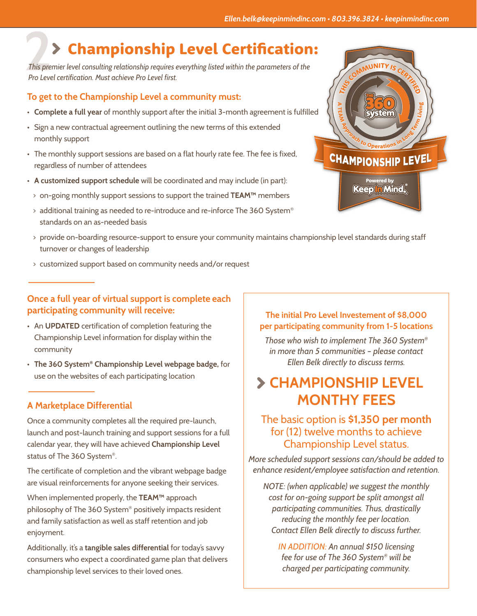### Championship Level Certification:

**2 2 Championship Level Certification:**<br>This premier level consulting relationship requires everything listed within the parameters of the<br>Pro Level certification. Must achieve Pro Level first. *This premier level consulting relationship requires everything listed within the parameters of the Pro Level certification. Must achieve Pro Level first.*

#### **To get to the Championship Level a community must:**

- **• Complete a full year** of monthly support after the initial 3-month agreement is fulfilled
- Sign a new contractual agreement outlining the new terms of this extended monthly support
- The monthly support sessions are based on a flat hourly rate fee. The fee is fixed, regardless of number of attendees
- **• A customized support schedule** will be coordinated and may include (in part):
- > on-going monthly support sessions to support the trained **TEAM™** members
- $>$  additional training as needed to re-introduce and re-inforce The 360 System® standards on an as-needed basis
- > provide on-boarding resource-support to ensure your community maintains championship level standards during staff turnover or changes of leadership
- > customized support based on community needs and/or request

#### **Once a full year of virtual support is complete each participating community will receive:**

- An **UPDATED** certification of completion featuring the Championship Level information for display within the community
- **• The 360 System® Championship Level webpage badge,** for use on the websites of each participating location

#### **A Marketplace Differential**

Once a community completes all the required pre-launch, launch and post-launch training and support sessions for a full calendar year, they will have achieved **Championship Level** status of The 360 System®.

The certificate of completion and the vibrant webpage badge are visual reinforcements for anyone seeking their services.

When implemented properly, the **TEAM™** approach philosophy of The 360 System® positively impacts resident and family satisfaction as well as staff retention and job enjoyment.

Additionally, it's a **tangible sales differential** for today's savvy consumers who expect a coordinated game plan that delivers championship level services to their loved ones.

#### **The initial Pro Level Investement of \$8,000 per participating community from 1-5 locations**

*Those who wish to implement The 360 System® in more than 5 communities – please contact Ellen Belk directly to discuss terms.*

### **CHAMPIONSHIP LEVEL MONTHY FEES**

#### The basic option is **\$1,350 per month** for (12) twelve months to achieve Championship Level status.

*More scheduled support sessions can/should be added to enhance resident/employee satisfaction and retention.* 

*NOTE: (when applicable) we suggest the monthly cost for on-going support be split amongst all participating communities. Thus, drastically reducing the monthly fee per location. Contact Ellen Belk directly to discuss further.*

*IN ADDITION: An annual \$150 licensing fee for use of The 360 System® will be charged per participating community.*